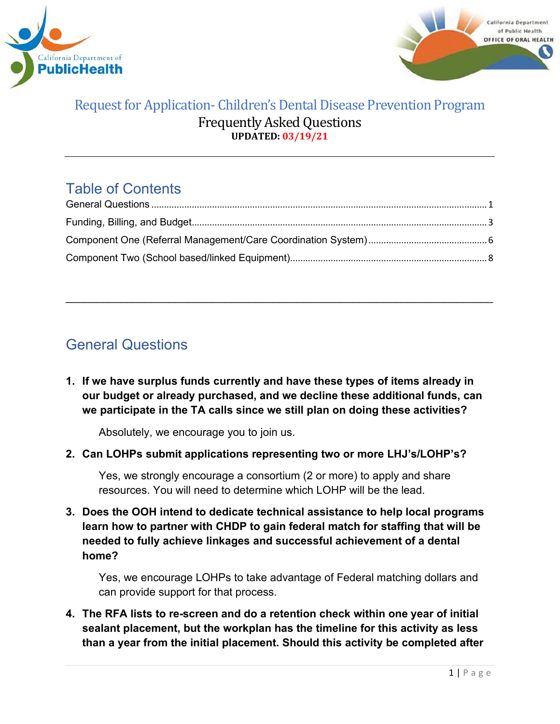



# Table of Contents

\_\_\_\_\_\_\_\_\_\_\_\_\_\_\_\_\_\_\_\_\_\_\_\_\_\_\_\_\_\_\_\_\_\_\_\_\_\_\_\_\_\_\_\_\_\_\_\_\_\_\_\_\_\_\_\_\_\_\_\_\_\_\_\_\_\_\_\_\_\_

# <span id="page-0-0"></span>General Questions

**1. If we have surplus funds currently and have these types of items already in our budget or already purchased, and we decline these additional funds, can we participate in the TA calls since we still plan on doing these activities?**

Absolutely, we encourage you to join us.

**2. Can LOHPs submit applications representing two or more LHJ's/LOHP's?** 

Yes, we strongly encourage a consortium (2 or more) to apply and share resources. You will need to determine which LOHP will be the lead.

**3. Does the OOH intend to dedicate technical assistance to help local programs learn how to partner with CHDP to gain federal match for staffing that will be needed to fully achieve linkages and successful achievement of a dental home?**

Yes, we encourage LOHPs to take advantage of Federal matching dollars and can provide support for that process.

**4. The RFA lists to re-screen and do a retention check within one year of initial sealant placement, but the workplan has the timeline for this activity as less than a year from the initial placement. Should this activity be completed after**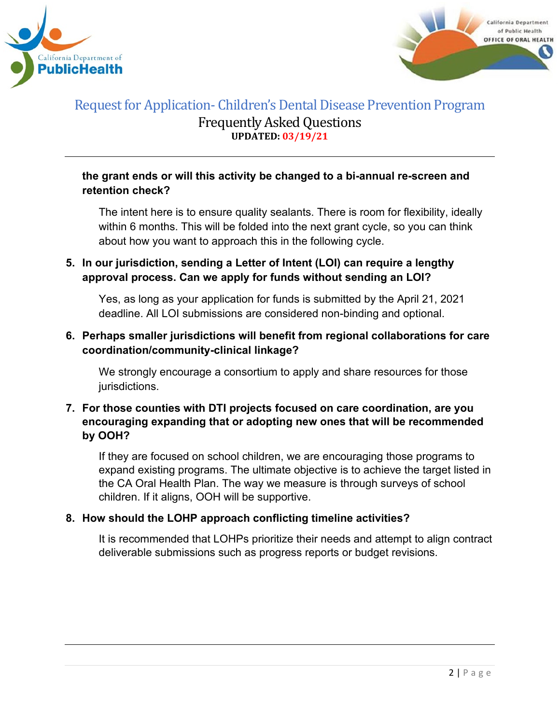



#### **the grant ends or will this activity be changed to a bi-annual re-screen and retention check?**

The intent here is to ensure quality sealants. There is room for flexibility, ideally within 6 months. This will be folded into the next grant cycle, so you can think about how you want to approach this in the following cycle.

### **5. In our jurisdiction, sending a Letter of Intent (LOI) can require a lengthy approval process. Can we apply for funds without sending an LOI?**

Yes, as long as your application for funds is submitted by the April 21, 2021 deadline. All LOI submissions are considered non-binding and optional.

### **6. Perhaps smaller jurisdictions will benefit from regional collaborations for care coordination/community-clinical linkage?**

We strongly encourage a consortium to apply and share resources for those jurisdictions.

#### **7. For those counties with DTI projects focused on care coordination, are you encouraging expanding that or adopting new ones that will be recommended by OOH?**

If they are focused on school children, we are encouraging those programs to expand existing programs. The ultimate objective is to achieve the target listed in the CA Oral Health Plan. The way we measure is through surveys of school children. If it aligns, OOH will be supportive.

#### **8. How should the LOHP approach conflicting timeline activities?**

It is recommended that LOHPs prioritize their needs and attempt to align contract deliverable submissions such as progress reports or budget revisions.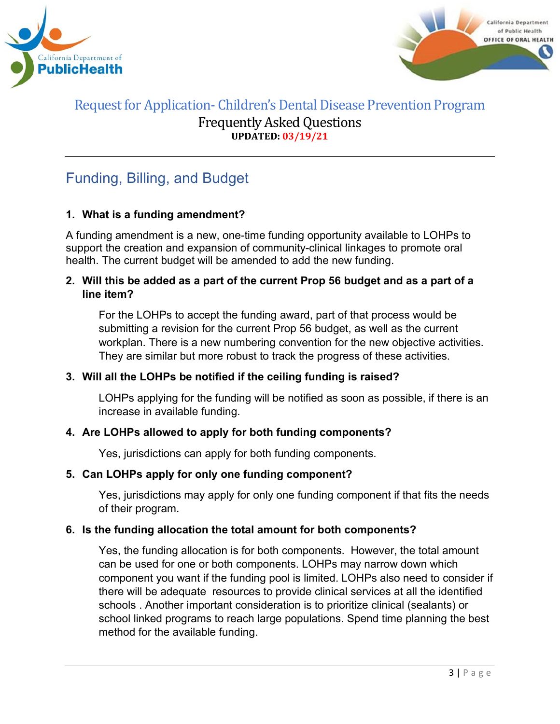



# <span id="page-2-0"></span>Funding, Billing, and Budget

### **1. What is a funding amendment?**

A funding amendment is a new, one-time funding opportunity available to LOHPs to support the creation and expansion of community-clinical linkages to promote oral health. The current budget will be amended to add the new funding.

#### **2. Will this be added as a part of the current Prop 56 budget and as a part of a line item?**

For the LOHPs to accept the funding award, part of that process would be submitting a revision for the current Prop 56 budget, as well as the current workplan. There is a new numbering convention for the new objective activities. They are similar but more robust to track the progress of these activities.

#### **3. Will all the LOHPs be notified if the ceiling funding is raised?**

LOHPs applying for the funding will be notified as soon as possible, if there is an increase in available funding.

### **4. Are LOHPs allowed to apply for both funding components?**

Yes, jurisdictions can apply for both funding components.

#### **5. Can LOHPs apply for only one funding component?**

Yes, jurisdictions may apply for only one funding component if that fits the needs of their program.

#### **6. Is the funding allocation the total amount for both components?**

Yes, the funding allocation is for both components. However, the total amount can be used for one or both components. LOHPs may narrow down which component you want if the funding pool is limited. LOHPs also need to consider if there will be adequate resources to provide clinical services at all the identified schools . Another important consideration is to prioritize clinical (sealants) or school linked programs to reach large populations. Spend time planning the best method for the available funding.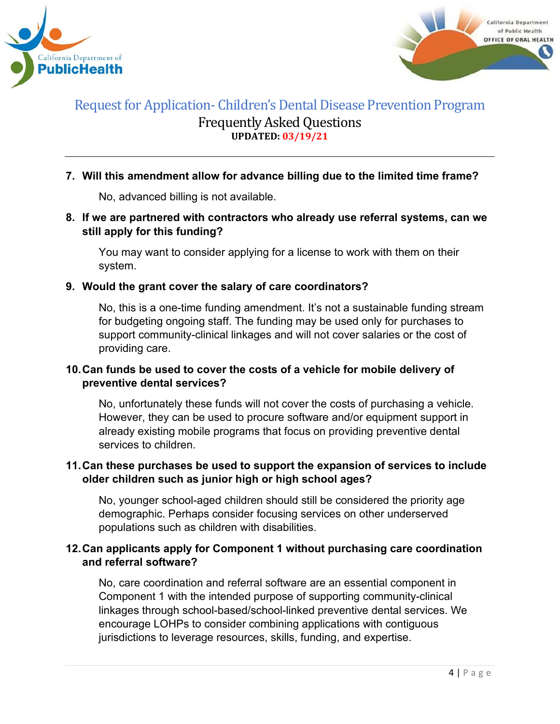



#### **7. Will this amendment allow for advance billing due to the limited time frame?**

No, advanced billing is not available.

#### **8. If we are partnered with contractors who already use referral systems, can we still apply for this funding?**

You may want to consider applying for a license to work with them on their system.

#### **9. Would the grant cover the salary of care coordinators?**

No, this is a one-time funding amendment. It's not a sustainable funding stream for budgeting ongoing staff. The funding may be used only for purchases to support community-clinical linkages and will not cover salaries or the cost of providing care.

#### **10.Can funds be used to cover the costs of a vehicle for mobile delivery of preventive dental services?**

No, unfortunately these funds will not cover the costs of purchasing a vehicle. However, they can be used to procure software and/or equipment support in already existing mobile programs that focus on providing preventive dental services to children.

#### **11.Can these purchases be used to support the expansion of services to include older children such as junior high or high school ages?**

No, younger school-aged children should still be considered the priority age demographic. Perhaps consider focusing services on other underserved populations such as children with disabilities.

#### **12.Can applicants apply for Component 1 without purchasing care coordination and referral software?**

No, care coordination and referral software are an essential component in Component 1 with the intended purpose of supporting community-clinical linkages through school-based/school-linked preventive dental services. We encourage LOHPs to consider combining applications with contiguous jurisdictions to leverage resources, skills, funding, and expertise.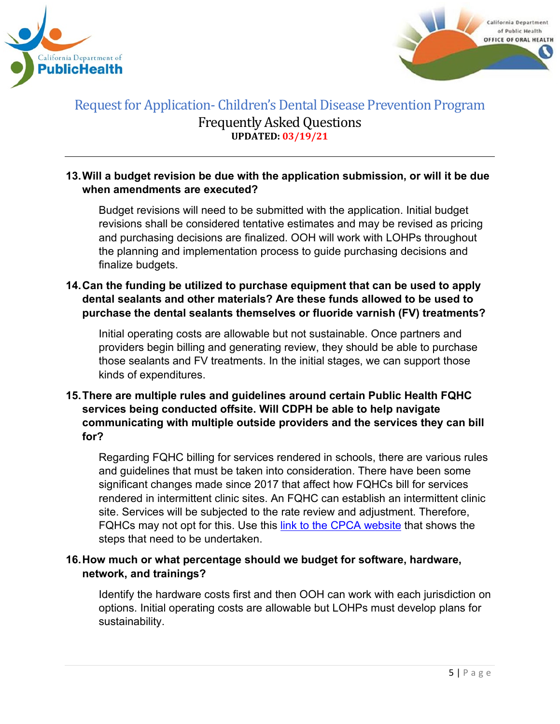



#### **13.Will a budget revision be due with the application submission, or will it be due when amendments are executed?**

Budget revisions will need to be submitted with the application. Initial budget revisions shall be considered tentative estimates and may be revised as pricing and purchasing decisions are finalized. OOH will work with LOHPs throughout the planning and implementation process to guide purchasing decisions and finalize budgets.

#### **14.Can the funding be utilized to purchase equipment that can be used to apply dental sealants and other materials? Are these funds allowed to be used to purchase the dental sealants themselves or fluoride varnish (FV) treatments?**

Initial operating costs are allowable but not sustainable. Once partners and providers begin billing and generating review, they should be able to purchase those sealants and FV treatments. In the initial stages, we can support those kinds of expenditures.

### **15.There are multiple rules and guidelines around certain Public Health FQHC services being conducted offsite. Will CDPH be able to help navigate communicating with multiple outside providers and the services they can bill for?**

Regarding FQHC billing for services rendered in schools, there are various rules and guidelines that must be taken into consideration. There have been some significant changes made since 2017 that affect how FQHCs bill for services rendered in intermittent clinic sites. An FQHC can establish an intermittent clinic site. Services will be subjected to the rate review and adjustment. Therefore, FQHCs may not opt for this. Use this [link to the CPCA website](https://www.cpca.org/CPCA/Health_Center_Resources/Operations/Licensing_Certification_OSHPD_3/CPCA/HEALTH_CENTER_RESOURCES/Operations/Licensing___Certification_OSHPD_3.aspx?hkey=e213a1f9-e91c-4d07-bd87-f32c31a5f75c#:%7E:text=Intermittent%3A%20A%20clinic%20that%20is,than%2040%20hours%20a%20week) that shows the steps that need to be undertaken.

#### **16.How much or what percentage should we budget for software, hardware, network, and trainings?**

Identify the hardware costs first and then OOH can work with each jurisdiction on options. Initial operating costs are allowable but LOHPs must develop plans for sustainability.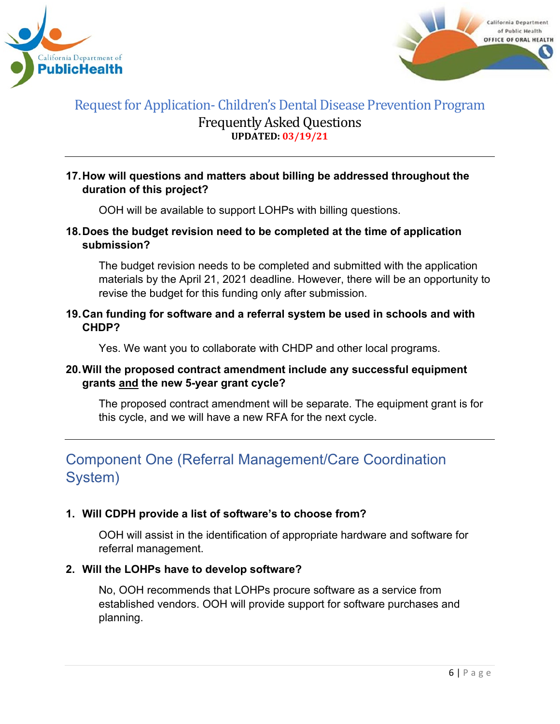



#### **17.How will questions and matters about billing be addressed throughout the duration of this project?**

OOH will be available to support LOHPs with billing questions.

#### **18.Does the budget revision need to be completed at the time of application submission?**

The budget revision needs to be completed and submitted with the application materials by the April 21, 2021 deadline. However, there will be an opportunity to revise the budget for this funding only after submission.

#### **19.Can funding for software and a referral system be used in schools and with CHDP?**

Yes. We want you to collaborate with CHDP and other local programs.

#### **20.Will the proposed contract amendment include any successful equipment grants and the new 5-year grant cycle?**

The proposed contract amendment will be separate. The equipment grant is for this cycle, and we will have a new RFA for the next cycle.

# <span id="page-5-0"></span>Component One (Referral Management/Care Coordination System)

#### **1. Will CDPH provide a list of software's to choose from?**

OOH will assist in the identification of appropriate hardware and software for referral management.

#### **2. Will the LOHPs have to develop software?**

No, OOH recommends that LOHPs procure software as a service from established vendors. OOH will provide support for software purchases and planning.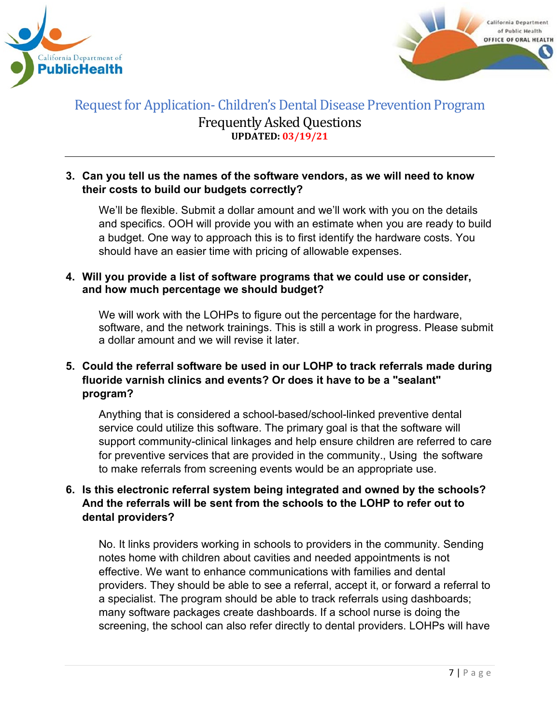



#### **3. Can you tell us the names of the software vendors, as we will need to know their costs to build our budgets correctly?**

We'll be flexible. Submit a dollar amount and we'll work with you on the details and specifics. OOH will provide you with an estimate when you are ready to build a budget. One way to approach this is to first identify the hardware costs. You should have an easier time with pricing of allowable expenses.

#### **4. Will you provide a list of software programs that we could use or consider, and how much percentage we should budget?**

We will work with the LOHPs to figure out the percentage for the hardware, software, and the network trainings. This is still a work in progress. Please submit a dollar amount and we will revise it later.

### **5. Could the referral software be used in our LOHP to track referrals made during fluoride varnish clinics and events? Or does it have to be a "sealant" program?**

Anything that is considered a school-based/school-linked preventive dental service could utilize this software. The primary goal is that the software will support community-clinical linkages and help ensure children are referred to care for preventive services that are provided in the community., Using the software to make referrals from screening events would be an appropriate use.

### **6. Is this electronic referral system being integrated and owned by the schools? And the referrals will be sent from the schools to the LOHP to refer out to dental providers?**

No. It links providers working in schools to providers in the community. Sending notes home with children about cavities and needed appointments is not effective. We want to enhance communications with families and dental providers. They should be able to see a referral, accept it, or forward a referral to a specialist. The program should be able to track referrals using dashboards; many software packages create dashboards. If a school nurse is doing the screening, the school can also refer directly to dental providers. LOHPs will have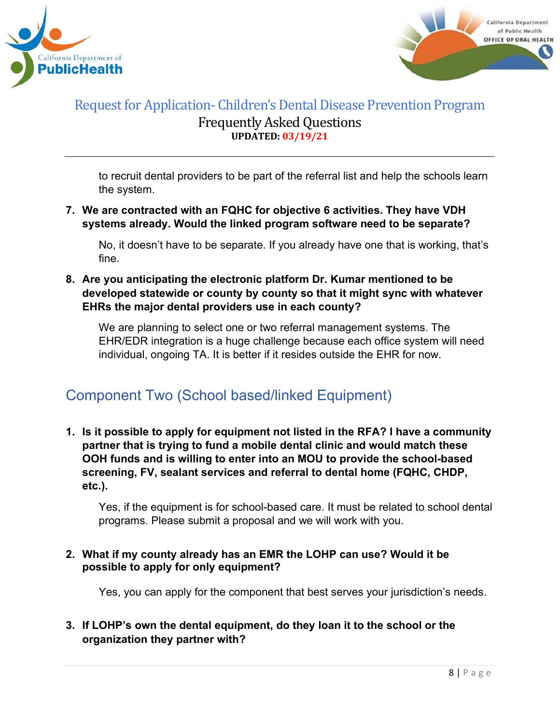



to recruit dental providers to be part of the referral list and help the schools learn the system.

**7. We are contracted with an FQHC for objective 6 activities. They have VDH systems already. Would the linked program software need to be separate?**

No, it doesn't have to be separate. If you already have one that is working, that's fine.

**8. Are you anticipating the electronic platform Dr. Kumar mentioned to be developed statewide or county by county so that it might sync with whatever EHRs the major dental providers use in each county?**

We are planning to select one or two referral management systems. The EHR/EDR integration is a huge challenge because each office system will need individual, ongoing TA. It is better if it resides outside the EHR for now.

# <span id="page-7-0"></span>Component Two (School based/linked Equipment)

**1. Is it possible to apply for equipment not listed in the RFA? I have a community partner that is trying to fund a mobile dental clinic and would match these OOH funds and is willing to enter into an MOU to provide the school-based screening, FV, sealant services and referral to dental home (FQHC, CHDP, etc.).**

Yes, if the equipment is for school-based care. It must be related to school dental programs. Please submit a proposal and we will work with you.

#### **2. What if my county already has an EMR the LOHP can use? Would it be possible to apply for only equipment?**

Yes, you can apply for the component that best serves your jurisdiction's needs.

#### **3. If LOHP's own the dental equipment, do they loan it to the school or the organization they partner with?**